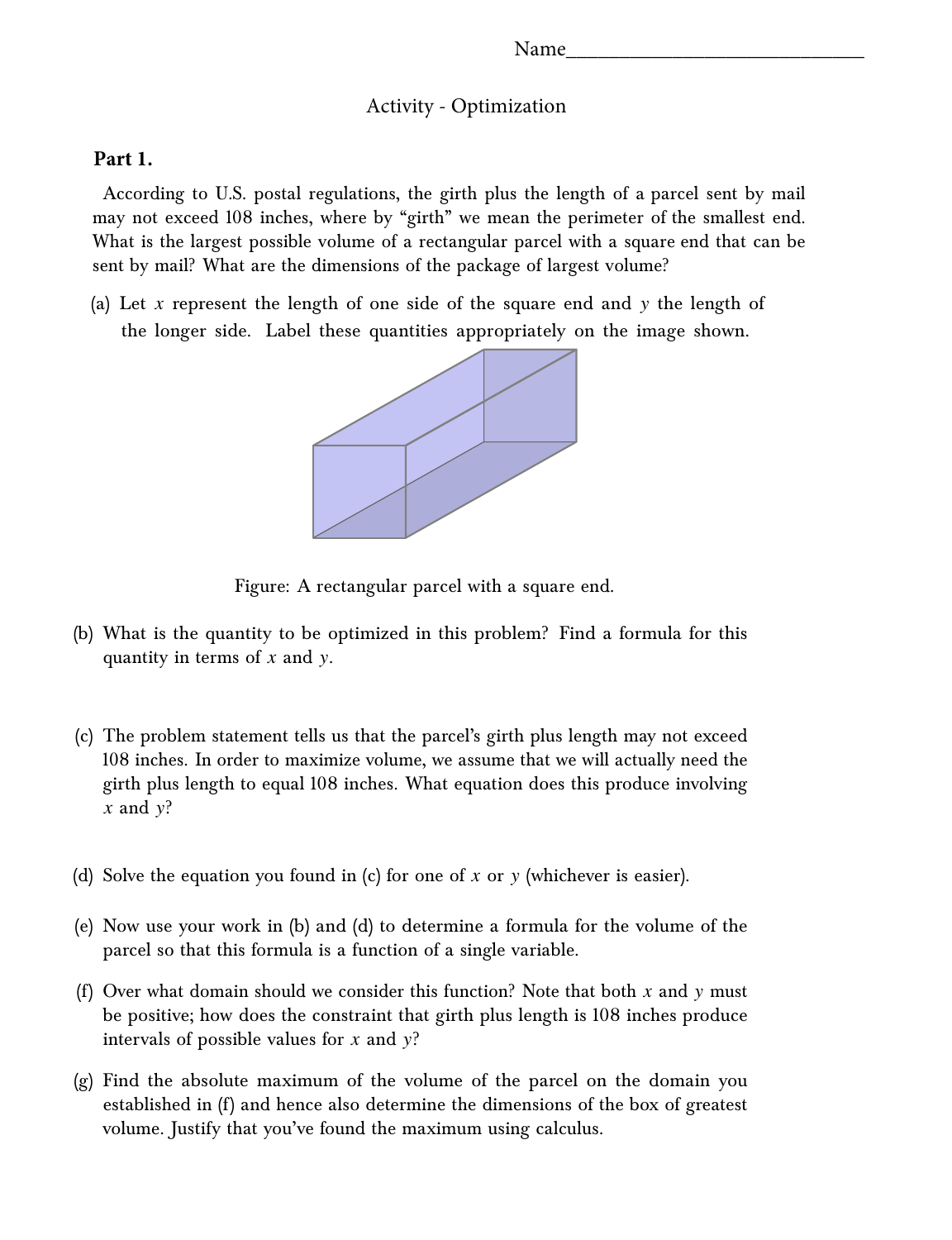### Activity - Optimization

### **Part 1.**

According to U.S. postal regulations, the girth plus the length of a parcel sent by mail may not exceed 108 inches, where by "girth" we mean the perimeter of the smallest end. What is the largest possible volume of a rectangular parcel with a square end that can be sent by mail? What are the dimensions of the package of largest volume?

(a) Let *x* represent the length of one side of the square end and y the length of the longer side. Label these quantities appropriately on the image shown.



Figure: A rectangular parcel with a square end.

- (b) What is the quantity to be optimized in this problem? Find a formula for this quantity in terms of *x* and y.
- (c) The problem statement tells us that the parcel's girth plus length may not exceed 108 inches. In order to maximize volume, we assume that we will actually need the girth plus length to equal 108 inches. What equation does this produce involving  $x$  and  $y$ ?
- (d) Solve the equation you found in (c) for one of *x* or y (whichever is easier).
- (e) Now use your work in (b) and (d) to determine a formula for the volume of the parcel so that this formula is a function of a single variable.
- (f) Over what domain should we consider this function? Note that both *x* and y must be positive; how does the constraint that girth plus length is 108 inches produce intervals of possible values for *x* and y?
- (g) Find the absolute maximum of the volume of the parcel on the domain you established in (f) and hence also determine the dimensions of the box of greatest volume. Justify that you've found the maximum using calculus.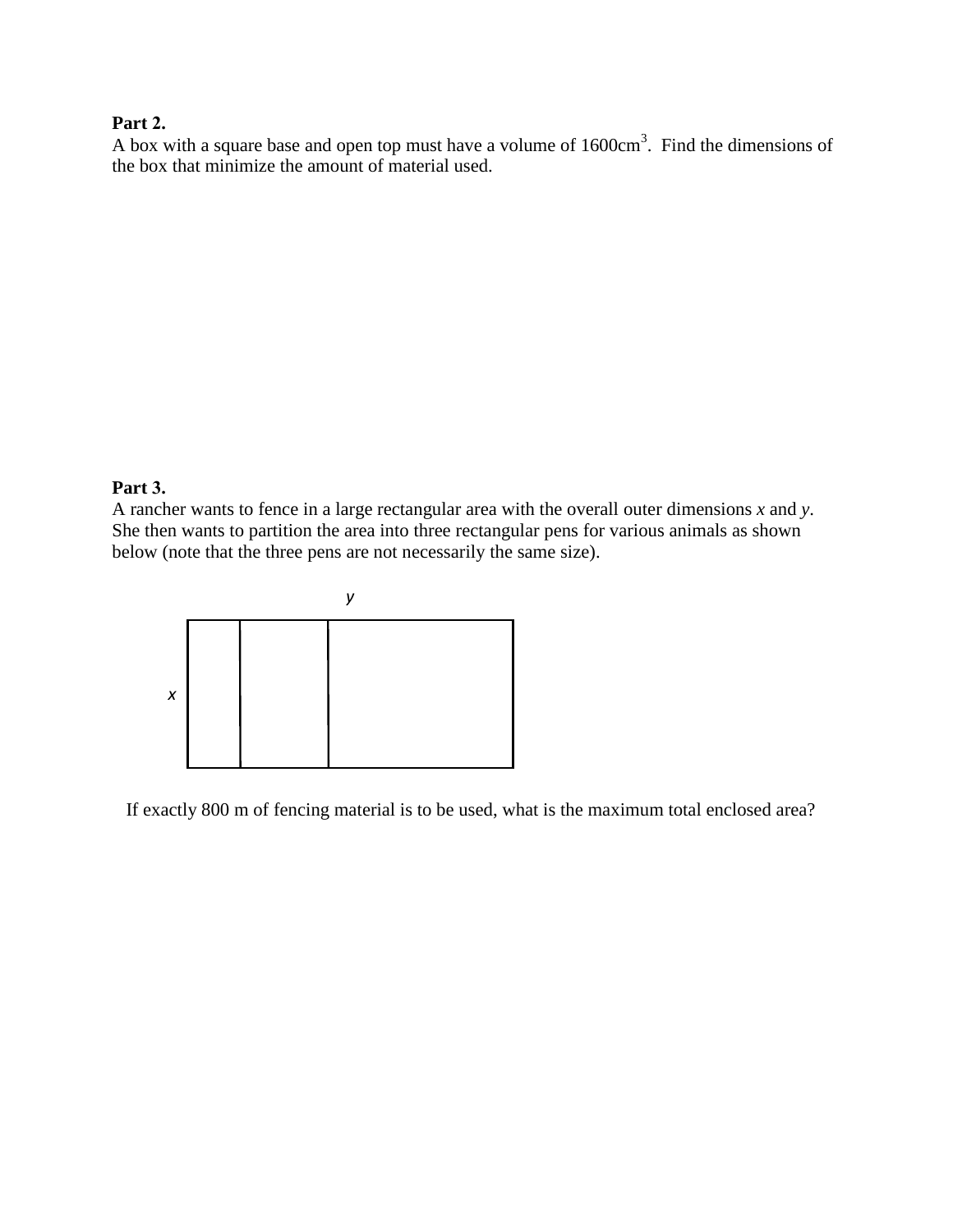# **Part 2.**

A box with a square base and open top must have a volume of  $1600 \text{cm}^3$ . Find the dimensions of the box that minimize the amount of material used.

### **Part 3.**

A rancher wants to fence in a large rectangular area with the overall outer dimensions *x* and *y*. She then wants to partition the area into three rectangular pens for various animals as shown below (note that the three pens are not necessarily the same size).



If exactly 800 m of fencing material is to be used, what is the maximum total enclosed area?